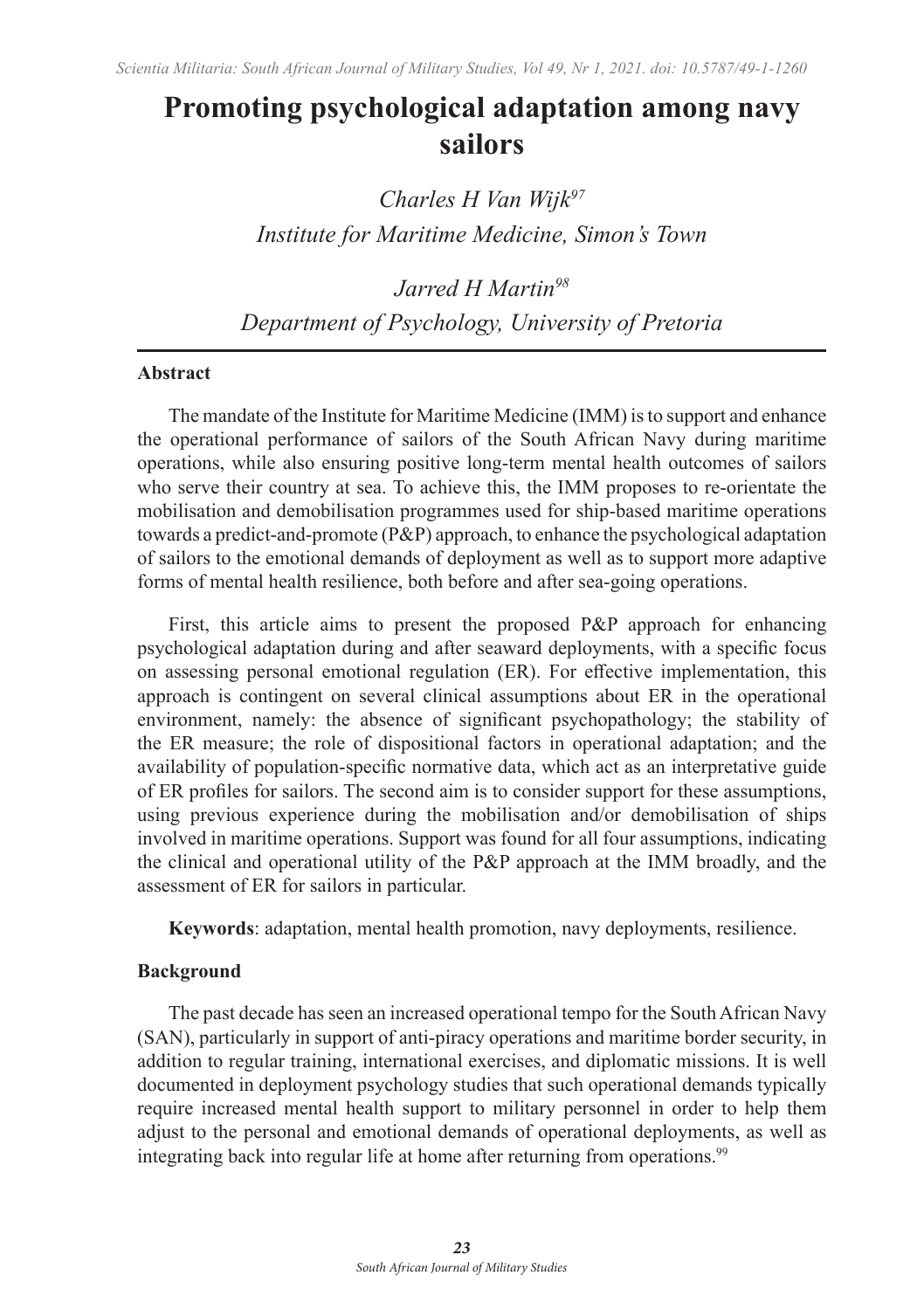# **Promoting psychological adaptation among navy sailors**

*Charles H Van Wijk97 Institute for Maritime Medicine, Simon's Town* 

*Jarred H Martin98 Department of Psychology, University of Pretoria*

#### **Abstract**

The mandate of the Institute for Maritime Medicine (IMM) is to support and enhance the operational performance of sailors of the South African Navy during maritime operations, while also ensuring positive long-term mental health outcomes of sailors who serve their country at sea. To achieve this, the IMM proposes to re-orientate the mobilisation and demobilisation programmes used for ship-based maritime operations towards a predict-and-promote (P&P) approach, to enhance the psychological adaptation of sailors to the emotional demands of deployment as well as to support more adaptive forms of mental health resilience, both before and after sea-going operations.

First, this article aims to present the proposed P&P approach for enhancing psychological adaptation during and after seaward deployments, with a specific focus on assessing personal emotional regulation (ER). For effective implementation, this approach is contingent on several clinical assumptions about ER in the operational environment, namely: the absence of significant psychopathology; the stability of the ER measure; the role of dispositional factors in operational adaptation; and the availability of population-specific normative data, which act as an interpretative guide of ER profiles for sailors. The second aim is to consider support for these assumptions, using previous experience during the mobilisation and/or demobilisation of ships involved in maritime operations. Support was found for all four assumptions, indicating the clinical and operational utility of the P&P approach at the IMM broadly, and the assessment of ER for sailors in particular.

**Keywords**: adaptation, mental health promotion, navy deployments, resilience.

#### **Background**

The past decade has seen an increased operational tempo for the South African Navy (SAN), particularly in support of anti-piracy operations and maritime border security, in addition to regular training, international exercises, and diplomatic missions. It is well documented in deployment psychology studies that such operational demands typically require increased mental health support to military personnel in order to help them adjust to the personal and emotional demands of operational deployments, as well as integrating back into regular life at home after returning from operations.<sup>99</sup>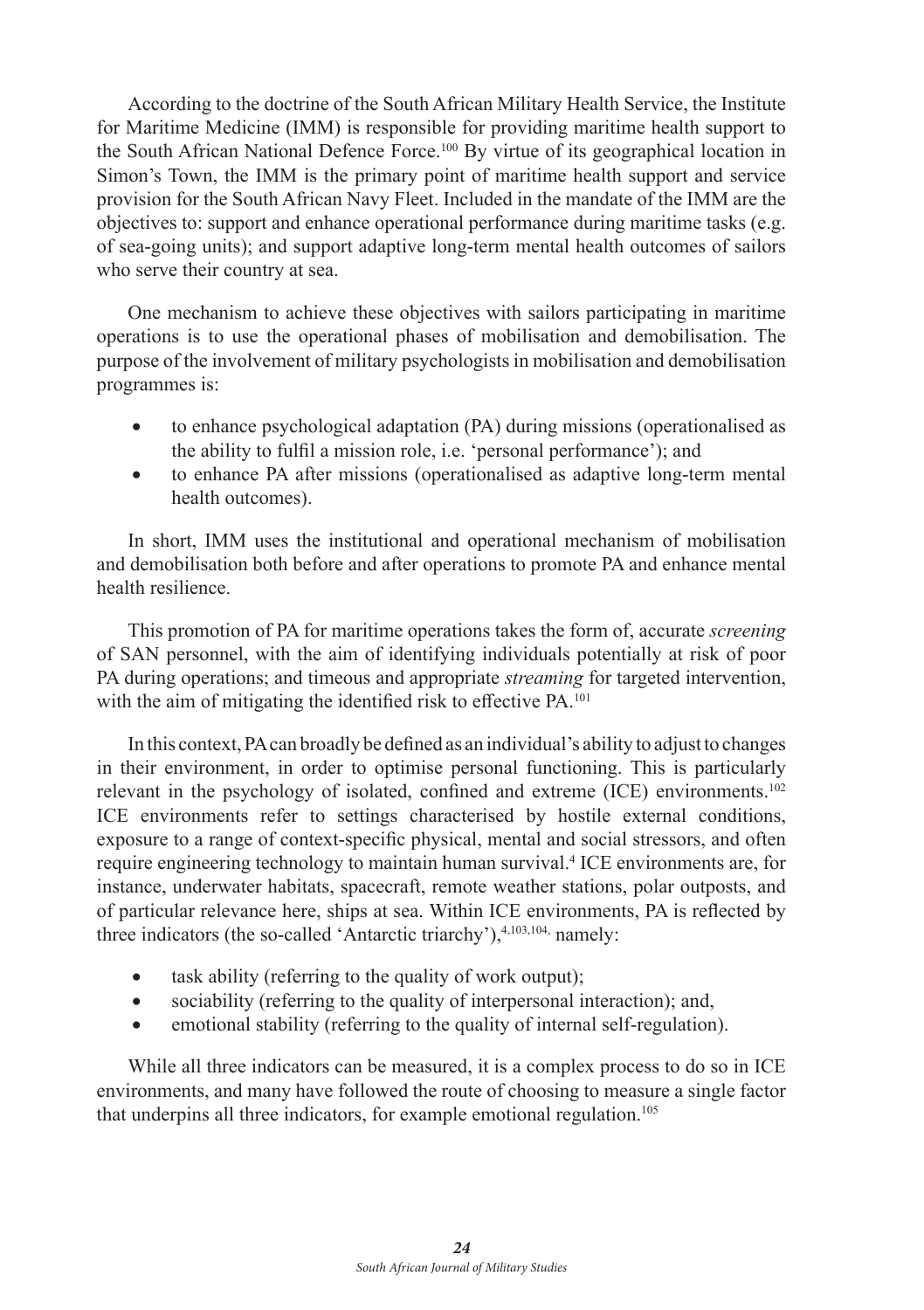According to the doctrine of the South African Military Health Service, the Institute for Maritime Medicine (IMM) is responsible for providing maritime health support to the South African National Defence Force.100 By virtue of its geographical location in Simon's Town, the IMM is the primary point of maritime health support and service provision for the South African Navy Fleet. Included in the mandate of the IMM are the objectives to: support and enhance operational performance during maritime tasks (e.g. of sea-going units); and support adaptive long-term mental health outcomes of sailors who serve their country at sea.

One mechanism to achieve these objectives with sailors participating in maritime operations is to use the operational phases of mobilisation and demobilisation. The purpose of the involvement of military psychologists in mobilisation and demobilisation programmes is:

- to enhance psychological adaptation (PA) during missions (operationalised as the ability to fulfil a mission role, i.e. 'personal performance'); and
- to enhance PA after missions (operationalised as adaptive long-term mental health outcomes).

In short, IMM uses the institutional and operational mechanism of mobilisation and demobilisation both before and after operations to promote PA and enhance mental health resilience.

This promotion of PA for maritime operations takes the form of, accurate *screening* of SAN personnel, with the aim of identifying individuals potentially at risk of poor PA during operations; and timeous and appropriate *streaming* for targeted intervention, with the aim of mitigating the identified risk to effective PA.<sup>101</sup>

In this context, PA can broadly be defined as an individual's ability to adjust to changes in their environment, in order to optimise personal functioning. This is particularly relevant in the psychology of isolated, confined and extreme (ICE) environments.102 ICE environments refer to settings characterised by hostile external conditions, exposure to a range of context-specific physical, mental and social stressors, and often require engineering technology to maintain human survival.<sup>4</sup> ICE environments are, for instance, underwater habitats, spacecraft, remote weather stations, polar outposts, and of particular relevance here, ships at sea. Within ICE environments, PA is reflected by three indicators (the so-called 'Antarctic triarchy'),<sup>4,103,104,</sup> namely:

- task ability (referring to the quality of work output);
- sociability (referring to the quality of interpersonal interaction); and,
- emotional stability (referring to the quality of internal self-regulation).

While all three indicators can be measured, it is a complex process to do so in ICE environments, and many have followed the route of choosing to measure a single factor that underpins all three indicators, for example emotional regulation.<sup>105</sup>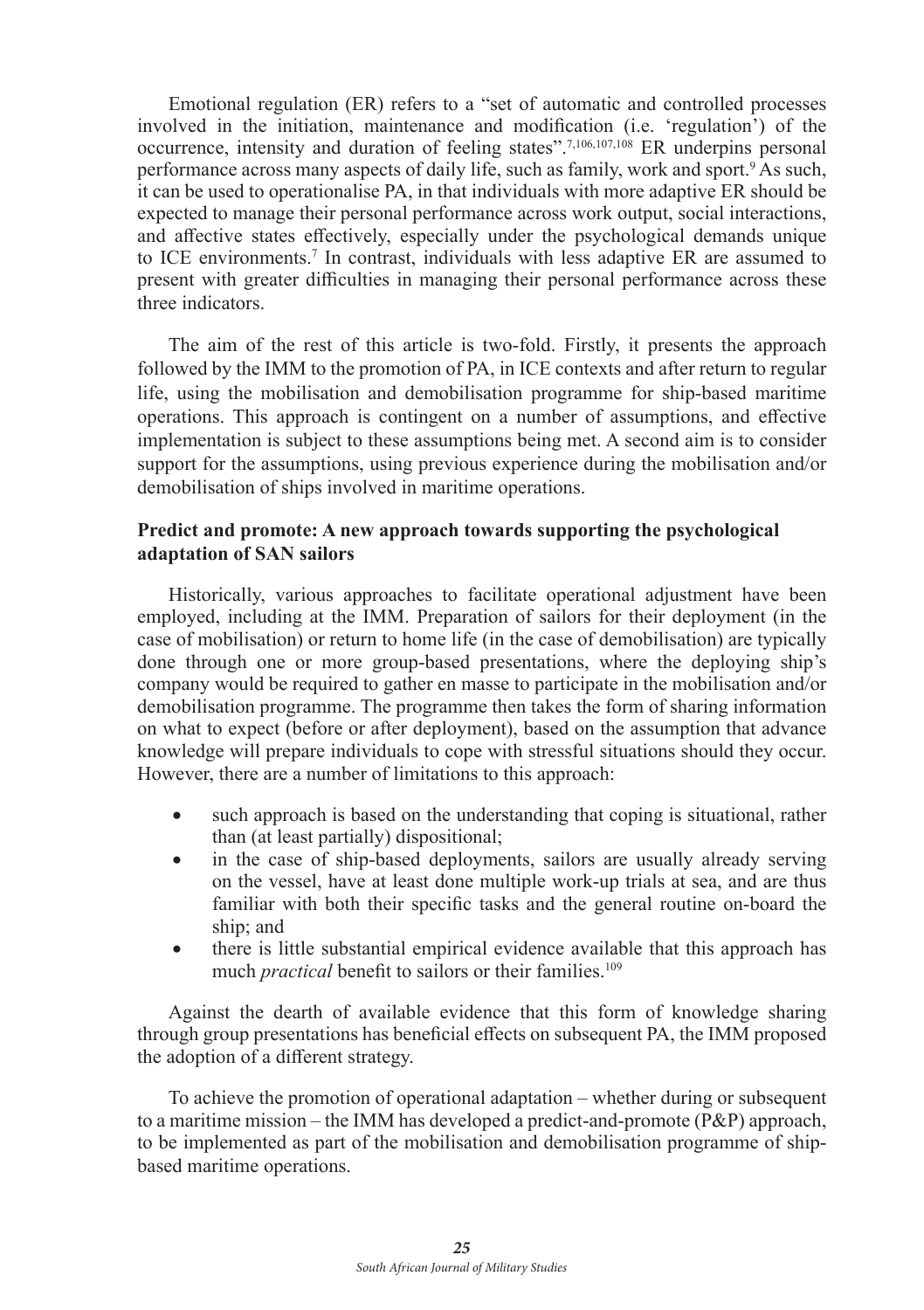Emotional regulation (ER) refers to a "set of automatic and controlled processes involved in the initiation, maintenance and modification (i.e. 'regulation') of the occurrence, intensity and duration of feeling states".7,106,107,<sup>108</sup> ER underpins personal performance across many aspects of daily life, such as family, work and sport.<sup>9</sup> As such, it can be used to operationalise PA, in that individuals with more adaptive ER should be expected to manage their personal performance across work output, social interactions, and affective states effectively, especially under the psychological demands unique to ICE environments.<sup>7</sup> In contrast, individuals with less adaptive ER are assumed to present with greater difficulties in managing their personal performance across these three indicators.

The aim of the rest of this article is two-fold. Firstly, it presents the approach followed by the IMM to the promotion of PA, in ICE contexts and after return to regular life, using the mobilisation and demobilisation programme for ship-based maritime operations. This approach is contingent on a number of assumptions, and effective implementation is subject to these assumptions being met. A second aim is to consider support for the assumptions, using previous experience during the mobilisation and/or demobilisation of ships involved in maritime operations.

#### **Predict and promote: A new approach towards supporting the psychological adaptation of SAN sailors**

Historically, various approaches to facilitate operational adjustment have been employed, including at the IMM. Preparation of sailors for their deployment (in the case of mobilisation) or return to home life (in the case of demobilisation) are typically done through one or more group-based presentations, where the deploying ship's company would be required to gather en masse to participate in the mobilisation and/or demobilisation programme. The programme then takes the form of sharing information on what to expect (before or after deployment), based on the assumption that advance knowledge will prepare individuals to cope with stressful situations should they occur. However, there are a number of limitations to this approach:

- such approach is based on the understanding that coping is situational, rather than (at least partially) dispositional;
- in the case of ship-based deployments, sailors are usually already serving on the vessel, have at least done multiple work-up trials at sea, and are thus familiar with both their specific tasks and the general routine on-board the ship; and
- there is little substantial empirical evidence available that this approach has much *practical* benefit to sailors or their families.<sup>109</sup>

Against the dearth of available evidence that this form of knowledge sharing through group presentations has beneficial effects on subsequent PA, the IMM proposed the adoption of a different strategy.

To achieve the promotion of operational adaptation – whether during or subsequent to a maritime mission – the IMM has developed a predict-and-promote (P&P) approach, to be implemented as part of the mobilisation and demobilisation programme of shipbased maritime operations.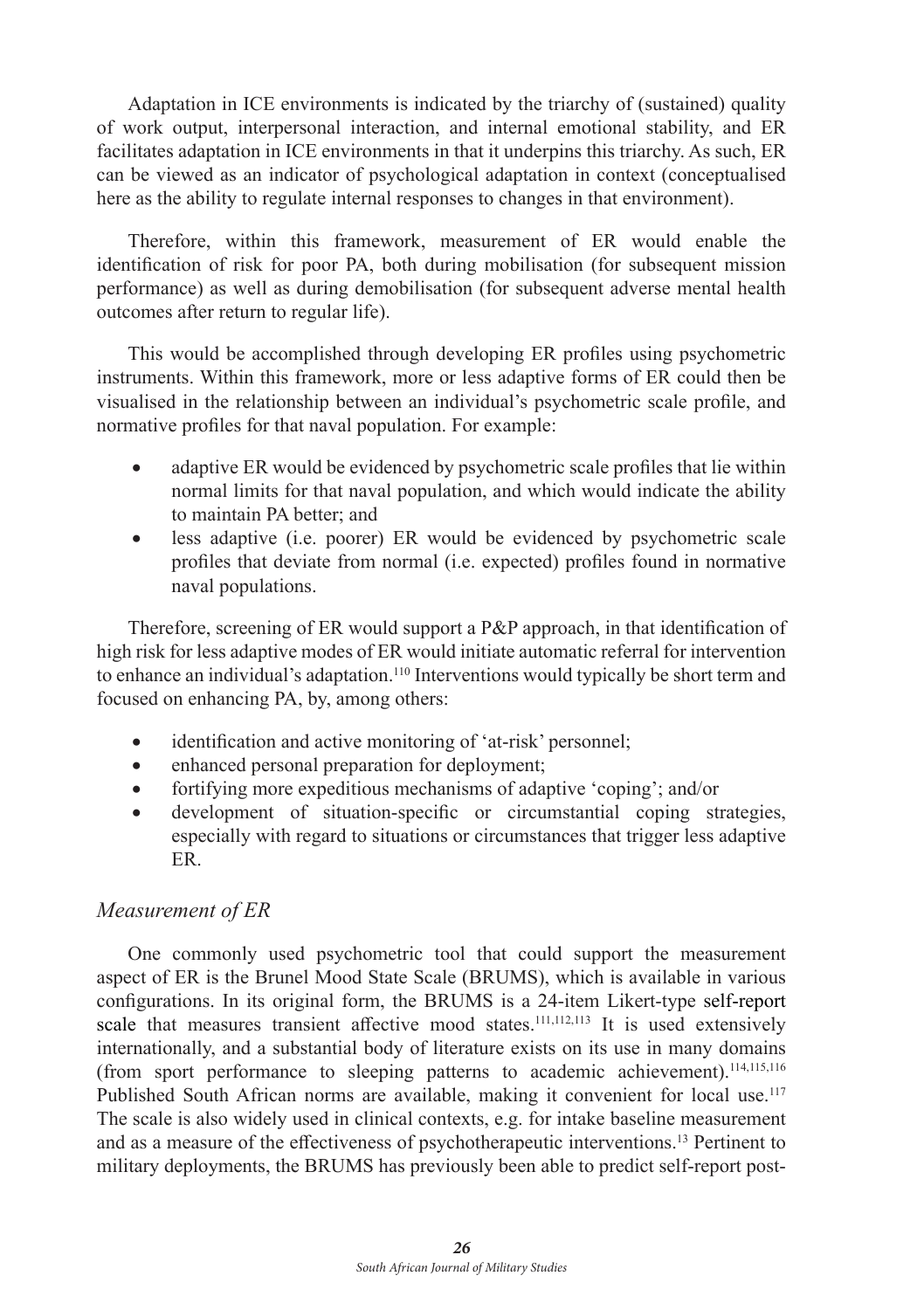Adaptation in ICE environments is indicated by the triarchy of (sustained) quality of work output, interpersonal interaction, and internal emotional stability, and ER facilitates adaptation in ICE environments in that it underpins this triarchy. As such, ER can be viewed as an indicator of psychological adaptation in context (conceptualised here as the ability to regulate internal responses to changes in that environment).

Therefore, within this framework, measurement of ER would enable the identification of risk for poor PA, both during mobilisation (for subsequent mission performance) as well as during demobilisation (for subsequent adverse mental health outcomes after return to regular life).

This would be accomplished through developing ER profiles using psychometric instruments. Within this framework, more or less adaptive forms of ER could then be visualised in the relationship between an individual's psychometric scale profile, and normative profiles for that naval population. For example:

- adaptive ER would be evidenced by psychometric scale profiles that lie within normal limits for that naval population, and which would indicate the ability to maintain PA better; and
- less adaptive (i.e. poorer) ER would be evidenced by psychometric scale profiles that deviate from normal (i.e. expected) profiles found in normative naval populations.

Therefore, screening of ER would support a P&P approach, in that identification of high risk for less adaptive modes of ER would initiate automatic referral for intervention to enhance an individual's adaptation.110 Interventions would typically be short term and focused on enhancing PA, by, among others:

- identification and active monitoring of 'at-risk' personnel;
- enhanced personal preparation for deployment;
- fortifying more expeditious mechanisms of adaptive 'coping'; and/or
- development of situation-specific or circumstantial coping strategies, especially with regard to situations or circumstances that trigger less adaptive ER.

# *Measurement of ER*

One commonly used psychometric tool that could support the measurement aspect of ER is the Brunel Mood State Scale (BRUMS), which is available in various configurations. In its original form, the BRUMS is a 24-item Likert-type self-report scale that measures transient affective mood states.<sup>111,112,113</sup> It is used extensively internationally, and a substantial body of literature exists on its use in many domains (from sport performance to sleeping patterns to academic achievement).114,115,<sup>116</sup> Published South African norms are available, making it convenient for local use.<sup>117</sup> The scale is also widely used in clinical contexts, e.g. for intake baseline measurement and as a measure of the effectiveness of psychotherapeutic interventions.13 Pertinent to military deployments, the BRUMS has previously been able to predict self-report post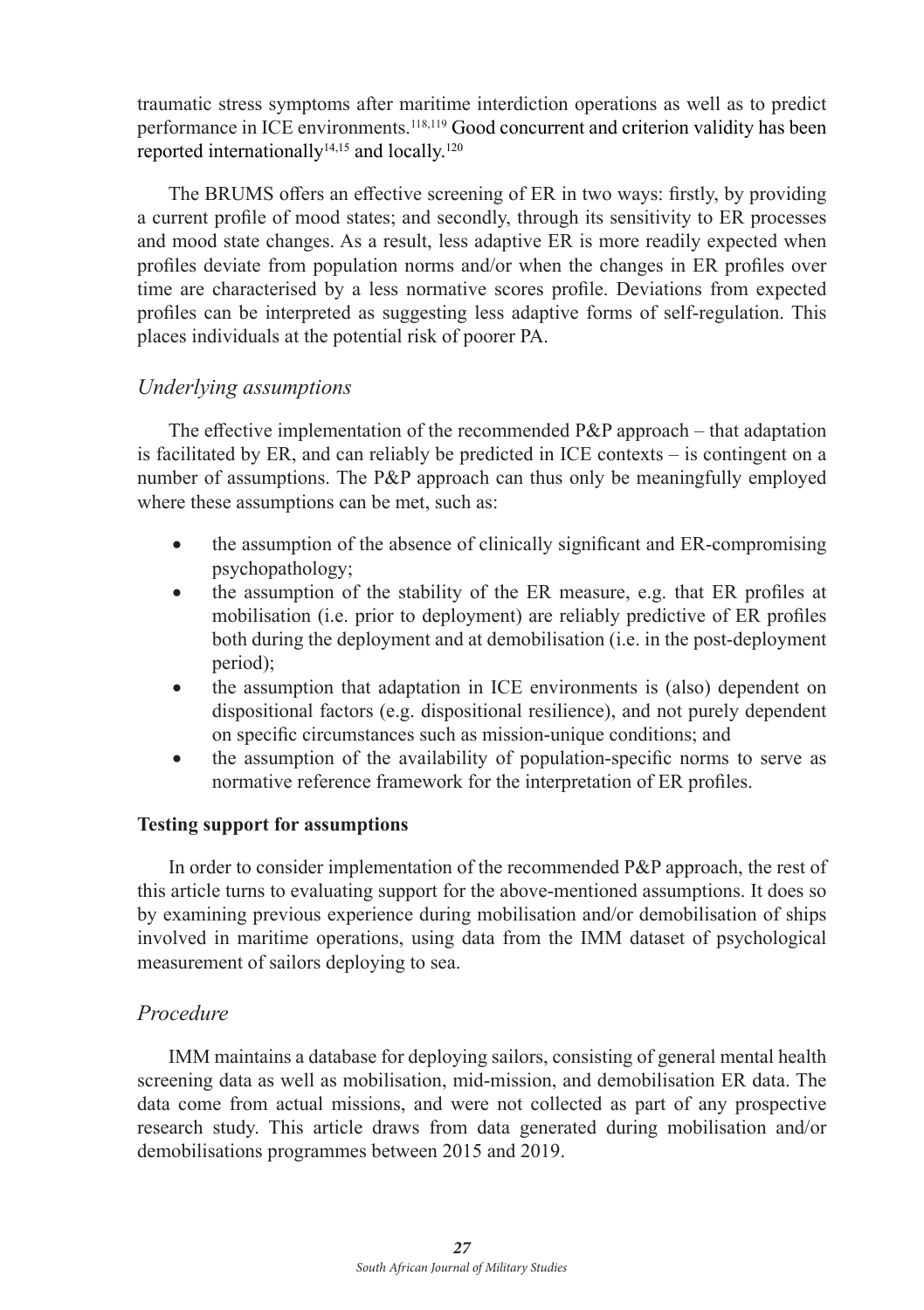traumatic stress symptoms after maritime interdiction operations as well as to predict performance in ICE environments.118,119 Good concurrent and criterion validity has been reported internationally $14,15$  and locally.<sup>120</sup>

The BRUMS offers an effective screening of ER in two ways: firstly, by providing a current profile of mood states; and secondly, through its sensitivity to ER processes and mood state changes. As a result, less adaptive ER is more readily expected when profiles deviate from population norms and/or when the changes in ER profiles over time are characterised by a less normative scores profile. Deviations from expected profiles can be interpreted as suggesting less adaptive forms of self-regulation. This places individuals at the potential risk of poorer PA.

# *Underlying assumptions*

The effective implementation of the recommended  $P\&P$  approach – that adaptation is facilitated by ER, and can reliably be predicted in ICE contexts – is contingent on a number of assumptions. The P&P approach can thus only be meaningfully employed where these assumptions can be met, such as:

- the assumption of the absence of clinically significant and ER-compromising psychopathology;
- the assumption of the stability of the ER measure, e.g. that ER profiles at mobilisation (i.e. prior to deployment) are reliably predictive of ER profiles both during the deployment and at demobilisation (i.e. in the post-deployment period);
- the assumption that adaptation in ICE environments is (also) dependent on dispositional factors (e.g. dispositional resilience), and not purely dependent on specific circumstances such as mission-unique conditions; and
- the assumption of the availability of population-specific norms to serve as normative reference framework for the interpretation of ER profiles.

# **Testing support for assumptions**

In order to consider implementation of the recommended P&P approach, the rest of this article turns to evaluating support for the above-mentioned assumptions. It does so by examining previous experience during mobilisation and/or demobilisation of ships involved in maritime operations, using data from the IMM dataset of psychological measurement of sailors deploying to sea.

# *Procedure*

IMM maintains a database for deploying sailors, consisting of general mental health screening data as well as mobilisation, mid-mission, and demobilisation ER data. The data come from actual missions, and were not collected as part of any prospective research study. This article draws from data generated during mobilisation and/or demobilisations programmes between 2015 and 2019.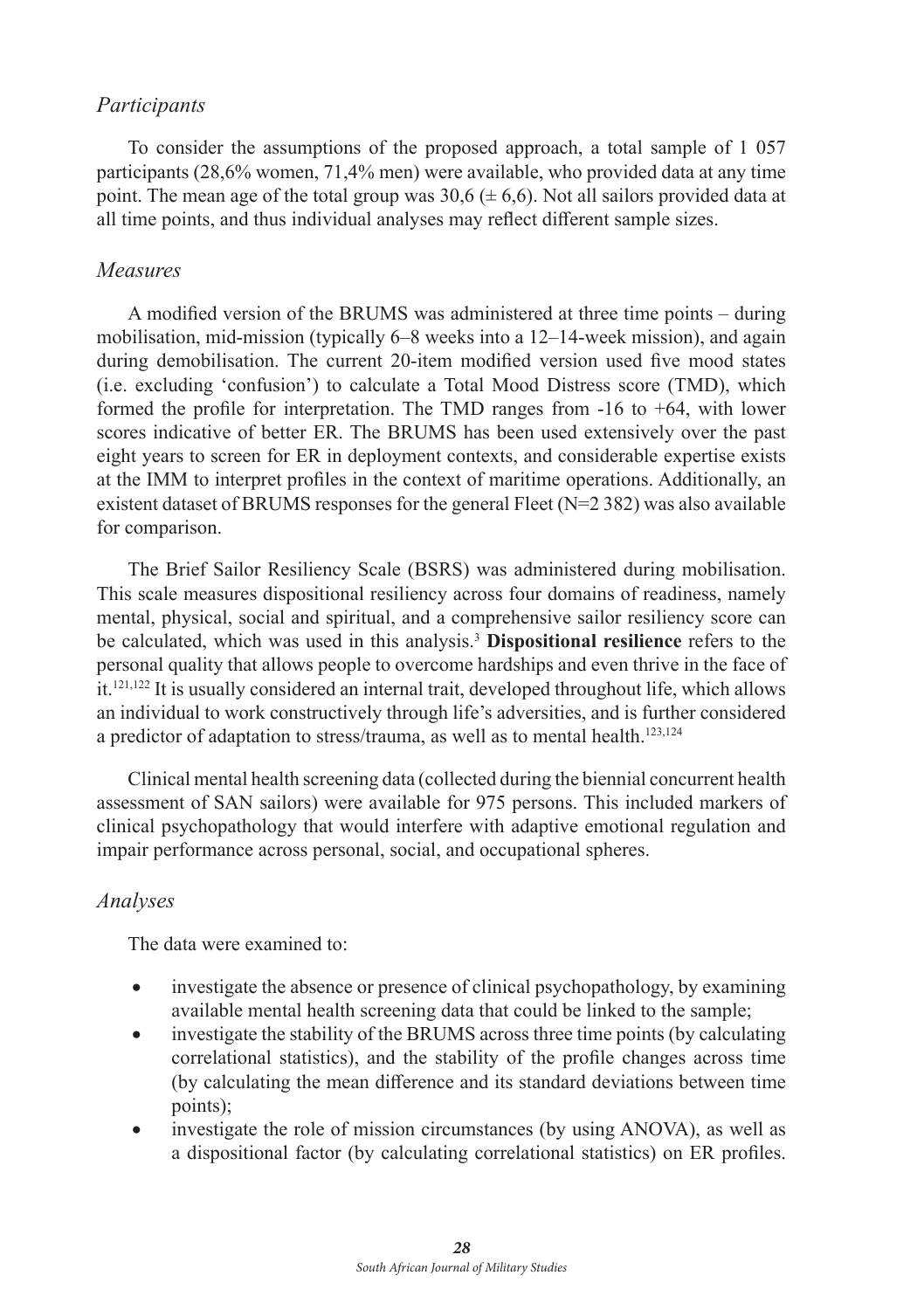#### *Participants*

To consider the assumptions of the proposed approach, a total sample of 1 057 participants (28,6% women, 71,4% men) were available, who provided data at any time point. The mean age of the total group was  $30.6 \ (\pm 6.6)$ . Not all sailors provided data at all time points, and thus individual analyses may reflect different sample sizes.

#### *Measures*

A modified version of the BRUMS was administered at three time points – during mobilisation, mid-mission (typically 6–8 weeks into a 12–14-week mission), and again during demobilisation. The current 20-item modified version used five mood states (i.e. excluding 'confusion') to calculate a Total Mood Distress score (TMD), which formed the profile for interpretation. The TMD ranges from -16 to +64, with lower scores indicative of better ER. The BRUMS has been used extensively over the past eight years to screen for ER in deployment contexts, and considerable expertise exists at the IMM to interpret profiles in the context of maritime operations. Additionally, an existent dataset of BRUMS responses for the general Fleet ( $N=2$  382) was also available for comparison.

The Brief Sailor Resiliency Scale (BSRS) was administered during mobilisation. This scale measures dispositional resiliency across four domains of readiness, namely mental, physical, social and spiritual, and a comprehensive sailor resiliency score can be calculated, which was used in this analysis.<sup>3</sup> **Dispositional resilience** refers to the personal quality that allows people to overcome hardships and even thrive in the face of it.121,<sup>122</sup> It is usually considered an internal trait, developed throughout life, which allows an individual to work constructively through life's adversities, and is further considered a predictor of adaptation to stress/trauma, as well as to mental health.<sup>123,124</sup>

Clinical mental health screening data (collected during the biennial concurrent health assessment of SAN sailors) were available for 975 persons. This included markers of clinical psychopathology that would interfere with adaptive emotional regulation and impair performance across personal, social, and occupational spheres.

#### *Analyses*

The data were examined to:

- investigate the absence or presence of clinical psychopathology, by examining available mental health screening data that could be linked to the sample;
- investigate the stability of the BRUMS across three time points (by calculating correlational statistics), and the stability of the profile changes across time (by calculating the mean difference and its standard deviations between time points);
- investigate the role of mission circumstances (by using ANOVA), as well as a dispositional factor (by calculating correlational statistics) on ER profiles.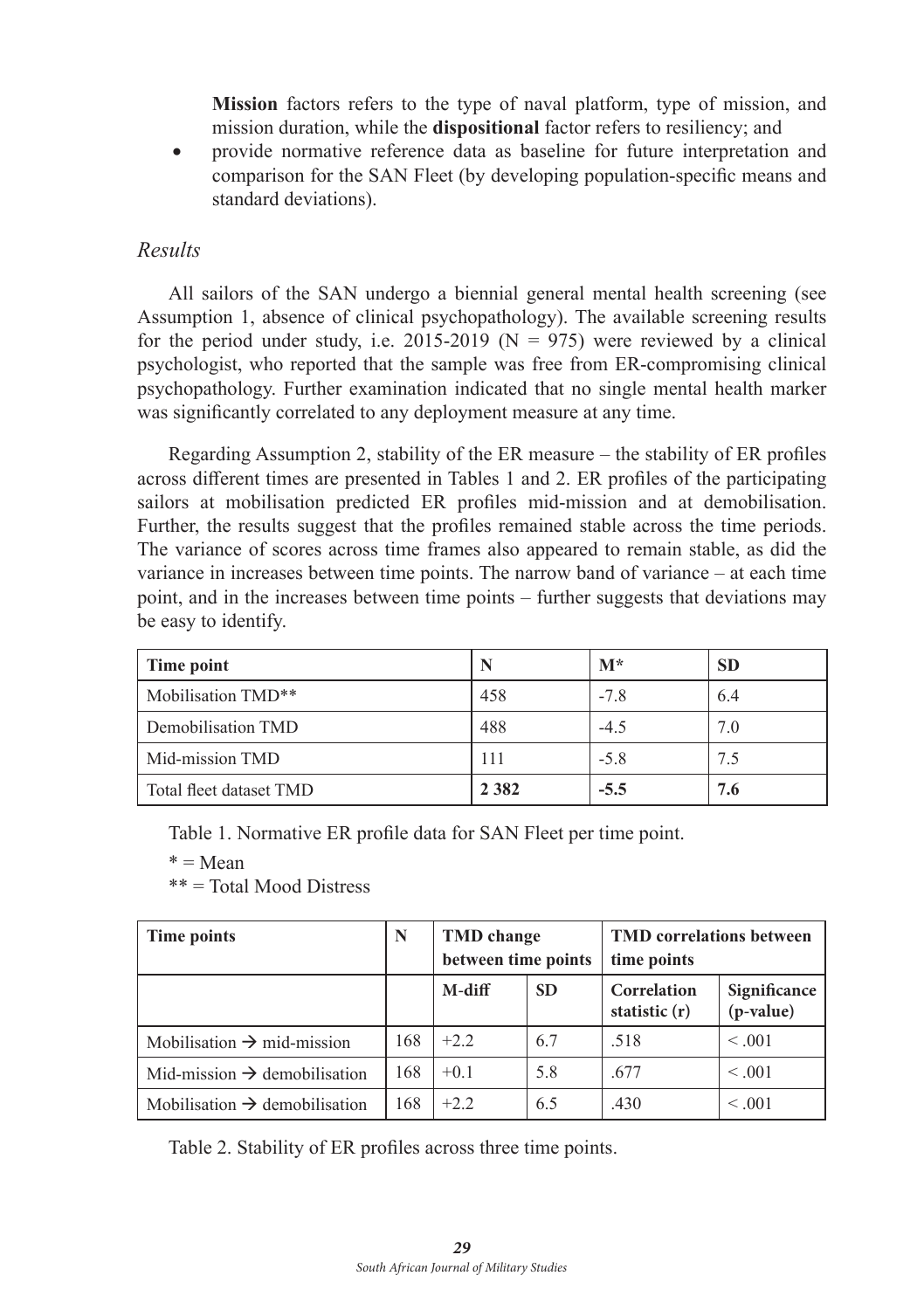**Mission** factors refers to the type of naval platform, type of mission, and mission duration, while the **dispositional** factor refers to resiliency; and

provide normative reference data as baseline for future interpretation and comparison for the SAN Fleet (by developing population-specific means and standard deviations).

#### *Results*

All sailors of the SAN undergo a biennial general mental health screening (see Assumption 1, absence of clinical psychopathology). The available screening results for the period under study, i.e. 2015-2019 ( $N = 975$ ) were reviewed by a clinical psychologist, who reported that the sample was free from ER-compromising clinical psychopathology. Further examination indicated that no single mental health marker was significantly correlated to any deployment measure at any time.

Regarding Assumption 2, stability of the ER measure – the stability of ER profiles across different times are presented in Tables 1 and 2. ER profiles of the participating sailors at mobilisation predicted ER profiles mid-mission and at demobilisation. Further, the results suggest that the profiles remained stable across the time periods. The variance of scores across time frames also appeared to remain stable, as did the variance in increases between time points. The narrow band of variance – at each time point, and in the increases between time points – further suggests that deviations may be easy to identify.

| Time point              |         | $M^*$  | <b>SD</b> |
|-------------------------|---------|--------|-----------|
| Mobilisation TMD**      | 458     | $-7.8$ | 6.4       |
| Demobilisation TMD      | 488     | $-4.5$ | 7.0       |
| Mid-mission TMD         | 111     | $-5.8$ | 7.5       |
| Total fleet dataset TMD | 2 3 8 2 | $-5.5$ | 7.6       |

Table 1. Normative ER profile data for SAN Fleet per time point.

 $* = Mean$ 

\*\* = Total Mood Distress

| Time points                               | N   | <b>TMD</b> change   |           | <b>TMD</b> correlations between |                             |
|-------------------------------------------|-----|---------------------|-----------|---------------------------------|-----------------------------|
|                                           |     | between time points |           | time points                     |                             |
|                                           |     | M-diff              | <b>SD</b> | Correlation<br>statistic $(r)$  | Significance<br>$(p-value)$ |
| Mobilisation $\rightarrow$ mid-mission    | 168 | $+2.2$              | 6.7       | .518                            | < 0.01                      |
| Mid-mission $\rightarrow$ demobilisation  | 168 | $+0.1$              | 5.8       | .677                            | < 0.01                      |
| Mobilisation $\rightarrow$ demobilisation | 168 | $+2.2$              | 6.5       | .430                            | < 0.001                     |

Table 2. Stability of ER profiles across three time points.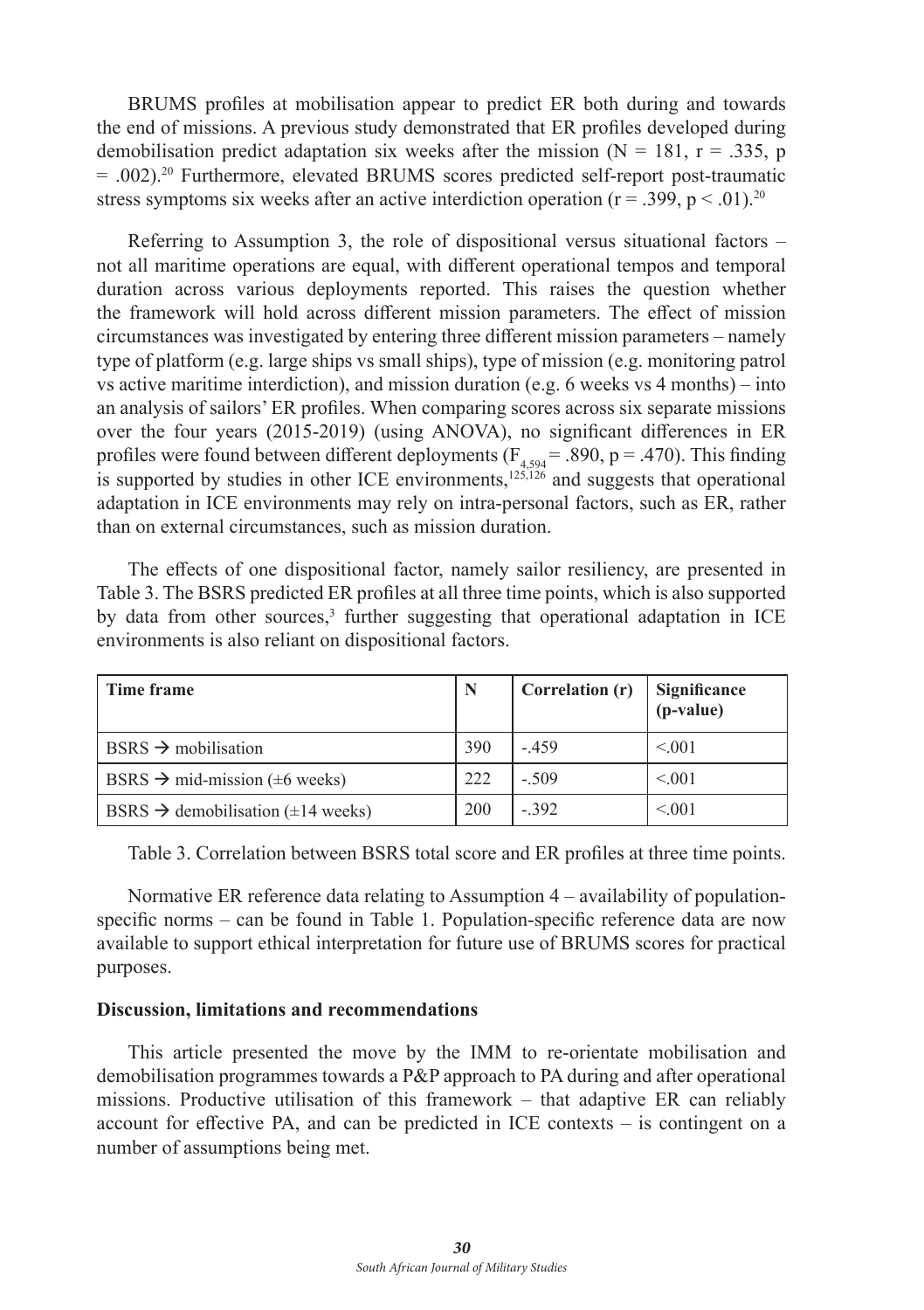BRUMS profiles at mobilisation appear to predict ER both during and towards the end of missions. A previous study demonstrated that ER profiles developed during demobilisation predict adaptation six weeks after the mission ( $N = 181$ ,  $r = .335$ , p  $= .002$ .<sup>20</sup> Furthermore, elevated BRUMS scores predicted self-report post-traumatic stress symptoms six weeks after an active interdiction operation ( $r = .399$ ,  $p < .01$ ).<sup>20</sup>

Referring to Assumption 3, the role of dispositional versus situational factors  $$ not all maritime operations are equal, with different operational tempos and temporal duration across various deployments reported. This raises the question whether the framework will hold across different mission parameters. The effect of mission circumstances was investigated by entering three different mission parameters – namely type of platform (e.g. large ships vs small ships), type of mission (e.g. monitoring patrol vs active maritime interdiction), and mission duration (e.g. 6 weeks vs  $4$  months) – into an analysis of sailors' ER profiles. When comparing scores across six separate missions over the four years (2015-2019) (using ANOVA), no significant differences in ER profiles were found between different deployments ( $F_{4,594}$  = .890, p = .470). This finding is supported by studies in other ICE environments,<sup>125,126</sup> and suggests that operational adaptation in ICE environments may rely on intra-personal factors, such as ER, rather than on external circumstances, such as mission duration.

The effects of one dispositional factor, namely sailor resiliency, are presented in Table 3. The BSRS predicted ER profiles at all three time points, which is also supported by data from other sources,<sup>3</sup> further suggesting that operational adaptation in ICE environments is also reliant on dispositional factors.

| Time frame                                          | N   | Correlation (r) | Significance<br>(p-value) |
|-----------------------------------------------------|-----|-----------------|---------------------------|
| $BSRS \rightarrow$ mobilisation                     | 390 | $-.459$         | < 0.01                    |
| BSRS $\rightarrow$ mid-mission ( $\pm$ 6 weeks)     | 222 | $-.509$         | < 0.01                    |
| BSRS $\rightarrow$ demobilisation ( $\pm$ 14 weeks) | 200 | $-.392$         | < 0.001                   |

Table 3. Correlation between BSRS total score and ER profiles at three time points.

Normative ER reference data relating to Assumption 4 – availability of populationspecific norms – can be found in Table 1. Population-specific reference data are now available to support ethical interpretation for future use of BRUMS scores for practical purposes.

#### **Discussion, limitations and recommendations**

This article presented the move by the IMM to re-orientate mobilisation and demobilisation programmes towards a P&P approach to PA during and after operational missions. Productive utilisation of this framework – that adaptive ER can reliably account for effective PA, and can be predicted in ICE contexts – is contingent on a number of assumptions being met.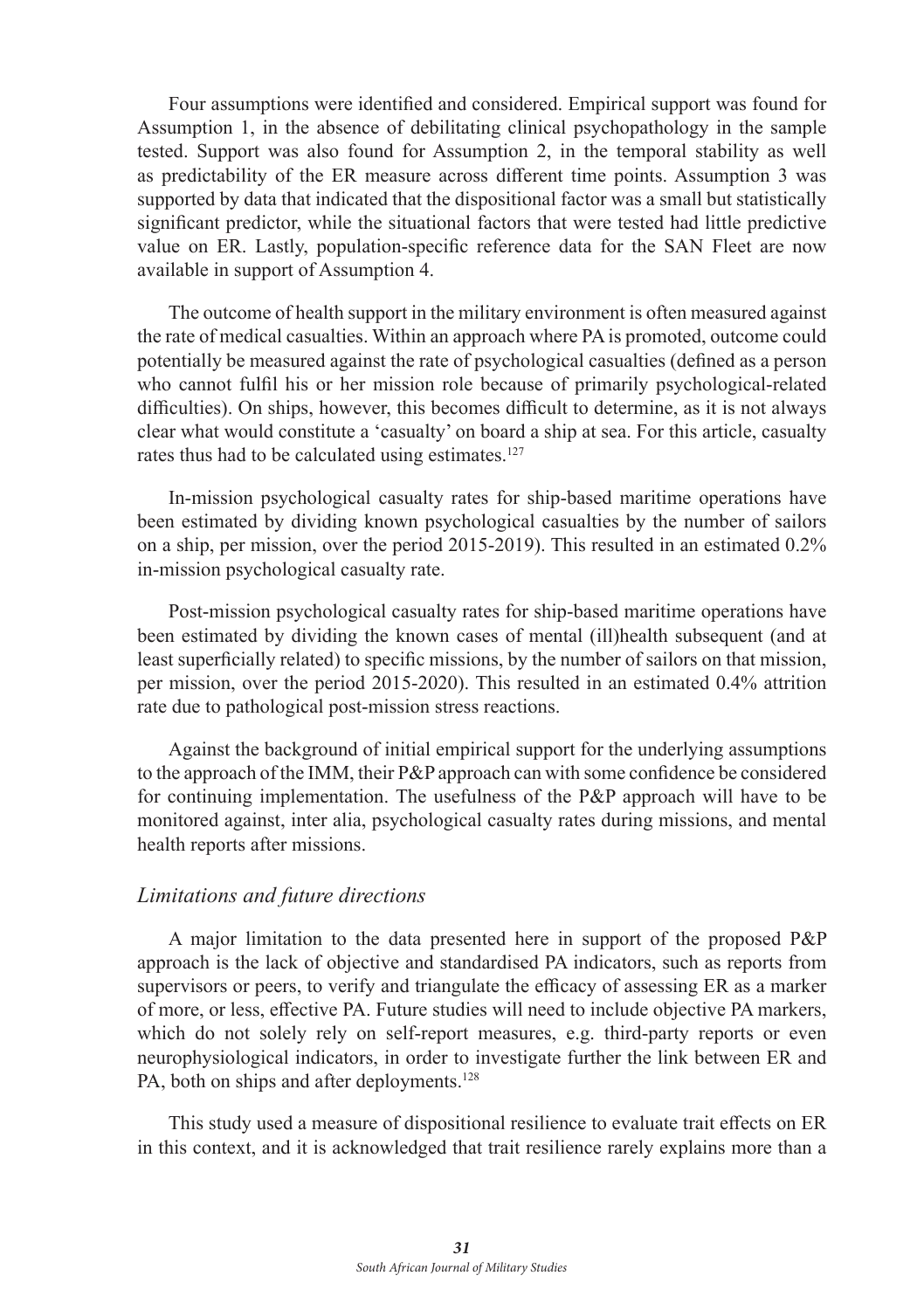Four assumptions were identified and considered. Empirical support was found for Assumption 1, in the absence of debilitating clinical psychopathology in the sample tested. Support was also found for Assumption 2, in the temporal stability as well as predictability of the ER measure across different time points. Assumption 3 was supported by data that indicated that the dispositional factor was a small but statistically significant predictor, while the situational factors that were tested had little predictive value on ER. Lastly, population-specific reference data for the SAN Fleet are now available in support of Assumption 4.

The outcome of health support in the military environment is often measured against the rate of medical casualties. Within an approach where PA is promoted, outcome could potentially be measured against the rate of psychological casualties (defined as a person who cannot fulfil his or her mission role because of primarily psychological-related difficulties). On ships, however, this becomes difficult to determine, as it is not always clear what would constitute a 'casualty' on board a ship at sea. For this article, casualty rates thus had to be calculated using estimates.<sup>127</sup>

In-mission psychological casualty rates for ship-based maritime operations have been estimated by dividing known psychological casualties by the number of sailors on a ship, per mission, over the period 2015-2019). This resulted in an estimated 0.2% in-mission psychological casualty rate.

Post-mission psychological casualty rates for ship-based maritime operations have been estimated by dividing the known cases of mental (ill)health subsequent (and at least superficially related) to specific missions, by the number of sailors on that mission, per mission, over the period 2015-2020). This resulted in an estimated 0.4% attrition rate due to pathological post-mission stress reactions.

Against the background of initial empirical support for the underlying assumptions to the approach of the IMM, their P&P approach can with some confidence be considered for continuing implementation. The usefulness of the P&P approach will have to be monitored against, inter alia, psychological casualty rates during missions, and mental health reports after missions.

#### *Limitations and future directions*

A major limitation to the data presented here in support of the proposed P&P approach is the lack of objective and standardised PA indicators, such as reports from supervisors or peers, to verify and triangulate the efficacy of assessing ER as a marker of more, or less, effective PA. Future studies will need to include objective PA markers, which do not solely rely on self-report measures, e.g. third-party reports or even neurophysiological indicators, in order to investigate further the link between ER and PA, both on ships and after deployments.<sup>128</sup>

This study used a measure of dispositional resilience to evaluate trait effects on ER in this context, and it is acknowledged that trait resilience rarely explains more than a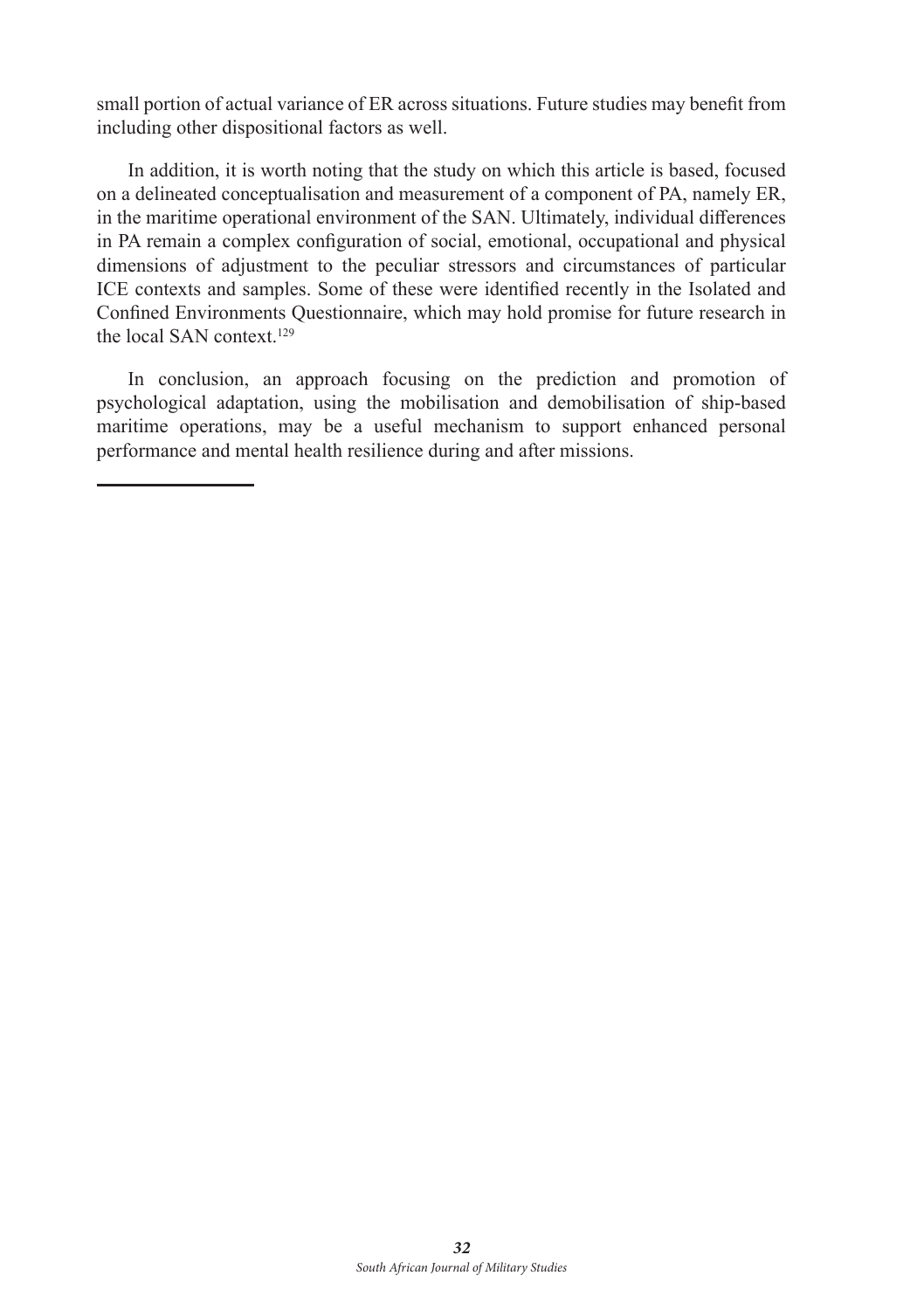small portion of actual variance of ER across situations. Future studies may benefit from including other dispositional factors as well.

In addition, it is worth noting that the study on which this article is based, focused on a delineated conceptualisation and measurement of a component of PA, namely ER, in the maritime operational environment of the SAN. Ultimately, individual differences in PA remain a complex configuration of social, emotional, occupational and physical dimensions of adjustment to the peculiar stressors and circumstances of particular ICE contexts and samples. Some of these were identified recently in the Isolated and Confined Environments Questionnaire, which may hold promise for future research in the local SAN context.<sup>129</sup>

In conclusion, an approach focusing on the prediction and promotion of psychological adaptation, using the mobilisation and demobilisation of ship-based maritime operations, may be a useful mechanism to support enhanced personal performance and mental health resilience during and after missions.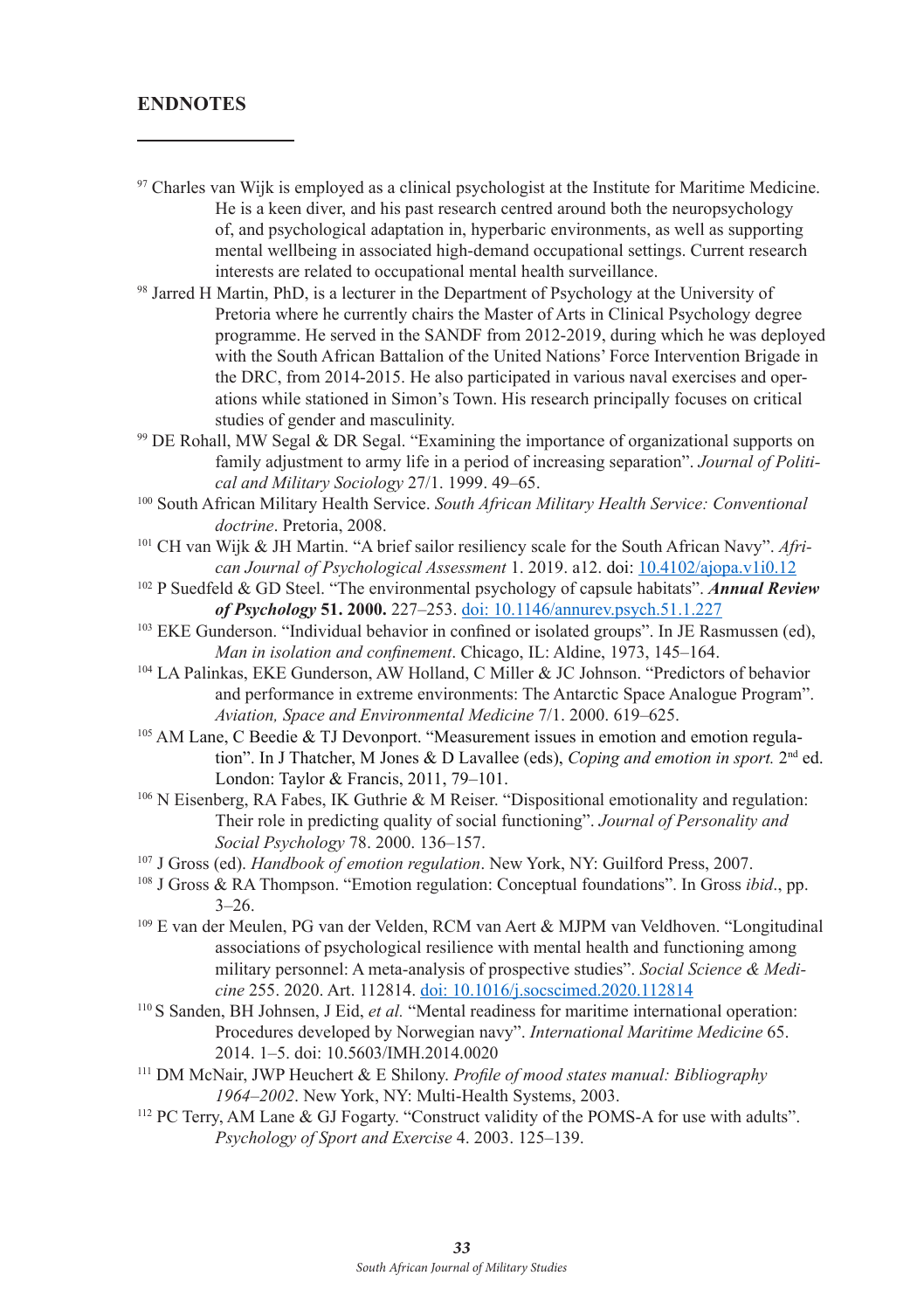#### **ENDNOTES**

- <sup>97</sup> Charles van Wijk is employed as a clinical psychologist at the Institute for Maritime Medicine. He is a keen diver, and his past research centred around both the neuropsychology of, and psychological adaptation in, hyperbaric environments, as well as supporting mental wellbeing in associated high-demand occupational settings. Current research interests are related to occupational mental health surveillance.
- <sup>98</sup> Jarred H Martin, PhD, is a lecturer in the Department of Psychology at the University of Pretoria where he currently chairs the Master of Arts in Clinical Psychology degree programme. He served in the SANDF from 2012-2019, during which he was deployed with the South African Battalion of the United Nations' Force Intervention Brigade in the DRC, from 2014-2015. He also participated in various naval exercises and operations while stationed in Simon's Town. His research principally focuses on critical studies of gender and masculinity.
- <sup>99</sup> DE Rohall, MW Segal & DR Segal. "Examining the importance of organizational supports on family adjustment to army life in a period of increasing separation". *Journal of Political and Military Sociology* 27/1. 1999. 49–65.
- 100 South African Military Health Service. *South African Military Health Service: Conventional doctrine*. Pretoria, 2008.
- 101 CH van Wijk & JH Martin. "A brief sailor resiliency scale for the South African Navy". *African Journal of Psychological Assessment* 1. 2019. a12. doi: 10.4102/ajopa.v1i0.12
- 102 P Suedfeld & GD Steel. "The environmental psychology of capsule habitats". *Annual Review of Psychology* **51. 2000.** 227–253. doi: 10.1146/annurev.psych.51.1.227
- <sup>103</sup> EKE Gunderson. "Individual behavior in confined or isolated groups". In JE Rasmussen (ed), *Man in isolation and confinement*. Chicago, IL: Aldine, 1973, 145–164.
- 104 LA Palinkas, EKE Gunderson, AW Holland, C Miller & JC Johnson. "Predictors of behavior and performance in extreme environments: The Antarctic Space Analogue Program". *Aviation, Space and Environmental Medicine* 7/1. 2000. 619–625.
- <sup>105</sup> AM Lane, C Beedie & TJ Devonport. "Measurement issues in emotion and emotion regulation". In J Thatcher, M Jones & D Lavallee (eds), *Coping and emotion in sport*. 2<sup>nd</sup> ed. London: Taylor & Francis, 2011, 79–101.
- 106 N Eisenberg, RA Fabes, IK Guthrie & M Reiser. "Dispositional emotionality and regulation: Their role in predicting quality of social functioning". *Journal of Personality and Social Psychology* 78. 2000. 136–157.
- 107 J Gross (ed). *Handbook of emotion regulation*. New York, NY: Guilford Press, 2007.
- 108 J Gross & RA Thompson. "Emotion regulation: Conceptual foundations". In Gross *ibid*., pp. 3–26.
- 109 E van der Meulen, PG van der Velden, RCM van Aert & MJPM van Veldhoven. "Longitudinal associations of psychological resilience with mental health and functioning among military personnel: A meta-analysis of prospective studies". *Social Science & Medicine* 255. 2020. Art. 112814. doi: 10.1016/j.socscimed.2020.112814
- 110 S Sanden, BH Johnsen, J Eid, *et al.* "Mental readiness for maritime international operation: Procedures developed by Norwegian navy". *International Maritime Medicine* 65. 2014. 1–5. doi: 10.5603/IMH.2014.0020
- <sup>111</sup> DM McNair, JWP Heuchert & E Shilony. *Profile of mood states manual: Bibliography 1964–2002*. New York, NY: Multi-Health Systems, 2003.
- 112 PC Terry, AM Lane & GJ Fogarty. "Construct validity of the POMS-A for use with adults". *Psychology of Sport and Exercise* 4. 2003. 125–139.